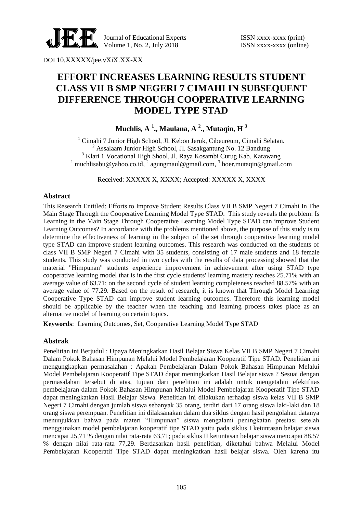

Journal of Educational Experts ISSN xxxx-xxxx (print) Volume 1, No. 2, July 2018 **ISSN** xxxx-xxxx (online)

DOI 10.XXXXX/jee.vXiX.XX-XX

# **EFFORT INCREASES LEARNING RESULTS STUDENT CLASS VII B SMP NEGERI 7 CIMAHI IN SUBSEQUENT DIFFERENCE THROUGH COOPERATIVE LEARNING MODEL TYPE STAD**

**Muchlis, A <sup>1</sup> ., Maulana, A <sup>2</sup> ., Mutaqin, H <sup>3</sup>**

<sup>1</sup> Cimahi 7 Junior High School, Jl. Kebon Jeruk, Cibeureum, Cimahi Selatan.  $2$  Assalaam Junior High School, Jl. Sasakgantung No. 12 Bandung <sup>3</sup> Klari 1 Vocational High Shool, Jl. Raya Kosambi Curug Kab. Karawang <sup>1</sup> muchlisabu@yahoo.co.id,<sup>2</sup> agungmaul@gmail.com,<sup>3</sup> hoer.mutaqin@gmail.com

Received: XXXXX X, XXXX; Accepted: XXXXX X, XXXX

## **Abstract**

This Research Entitled: Efforts to Improve Student Results Class VII B SMP Negeri 7 Cimahi In The Main Stage Through the Cooperative Learning Model Type STAD. This study reveals the problem: Is Learning in the Main Stage Through Cooperative Learning Model Type STAD can improve Student Learning Outcomes? In accordance with the problems mentioned above, the purpose of this study is to determine the effectiveness of learning in the subject of the set through cooperative learning model type STAD can improve student learning outcomes. This research was conducted on the students of class VII B SMP Negeri 7 Cimahi with 35 students, consisting of 17 male students and 18 female students. This study was conducted in two cycles with the results of data processing showed that the material "Himpunan" students experience improvement in achievement after using STAD type cooperative learning model that is in the first cycle students' learning mastery reaches 25.71% with an average value of 63.71; on the second cycle of student learning completeness reached 88.57% with an average value of 77.29. Based on the result of research, it is known that Through Model Learning Cooperative Type STAD can improve student learning outcomes. Therefore this learning model should be applicable by the teacher when the teaching and learning process takes place as an alternative model of learning on certain topics.

**Keywords**: Learning Outcomes, Set, Cooperative Learning Model Type STAD

## **Abstrak**

Penelitian ini Berjudul : Upaya Meningkatkan Hasil Belajar Siswa Kelas VII B SMP Negeri 7 Cimahi Dalam Pokok Bahasan Himpunan Melalui Model Pembelajaran Kooperatif Tipe STAD. Penelitian ini mengungkapkan permasalahan : Apakah Pembelajaran Dalam Pokok Bahasan Himpunan Melalui Model Pembelajaran Kooperatif Tipe STAD dapat meningkatkan Hasil Belajar siswa ? Sesuai dengan permasalahan tersebut di atas, tujuan dari penelitian ini adalah untuk mengetahui efektifitas pembelajaran dalam Pokok Bahasan Himpunan Melalui Model Pembelajaran Kooperatif Tipe STAD dapat meningkatkan Hasil Belajar Siswa. Penelitian ini dilakukan terhadap siswa kelas VII B SMP Negeri 7 Cimahi dengan jumlah siswa sebanyak 35 orang, terdiri dari 17 orang siswa laki-laki dan 18 orang siswa perempuan. Penelitian ini dilaksanakan dalam dua siklus dengan hasil pengolahan datanya menunjukkan bahwa pada materi "Himpunan" siswa mengalami peningkatan prestasi setelah menggunakan model pembelajaran kooperatif tipe STAD yaitu pada siklus I ketuntasan belajar siswa mencapai 25,71 % dengan nilai rata-rata 63,71; pada siklus II ketuntasan belajar siswa mencapai 88,57 % dengan nilai rata-rata 77,29. Berdasarkan hasil penelitian, diketahui bahwa Melalui Model Pembelajaran Kooperatif Tipe STAD dapat meningkatkan hasil belajar siswa. Oleh karena itu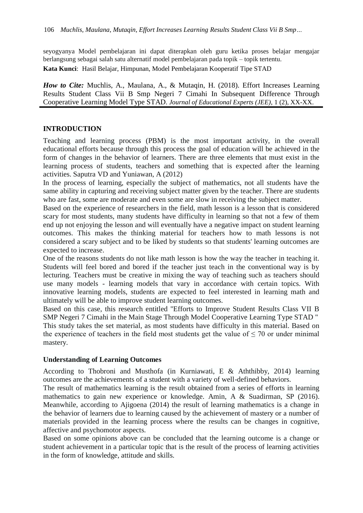seyogyanya Model pembelajaran ini dapat diterapkan oleh guru ketika proses belajar mengajar berlangsung sebagai salah satu alternatif model pembelajaran pada topik – topik tertentu.

**Kata Kunci**: Hasil Belajar, Himpunan, Model Pembelajaran Kooperatif Tipe STAD

*How to Cite: Muchlis, A., Maulana, A., & Mutaqin, H. (2018). Effort Increases Learning* Results Student Class Vii B Smp Negeri 7 Cimahi In Subsequent Difference Through Cooperative Learning Model Type STAD. *Journal of Educational Experts (JEE)*, 1 (2), XX-XX.

#### **INTRODUCTION**

Teaching and learning process (PBM) is the most important activity, in the overall educational efforts because through this process the goal of education will be achieved in the form of changes in the behavior of learners. There are three elements that must exist in the learning process of students, teachers and something that is expected after the learning activities. Saputra VD and Yuniawan, A (2012)

In the process of learning, especially the subject of mathematics, not all students have the same ability in capturing and receiving subject matter given by the teacher. There are students who are fast, some are moderate and even some are slow in receiving the subject matter.

Based on the experience of researchers in the field, math lesson is a lesson that is considered scary for most students, many students have difficulty in learning so that not a few of them end up not enjoying the lesson and will eventually have a negative impact on student learning outcomes. This makes the thinking material for teachers how to math lessons is not considered a scary subject and to be liked by students so that students' learning outcomes are expected to increase.

One of the reasons students do not like math lesson is how the way the teacher in teaching it. Students will feel bored and bored if the teacher just teach in the conventional way is by lecturing. Teachers must be creative in mixing the way of teaching such as teachers should use many models - learning models that vary in accordance with certain topics. With innovative learning models, students are expected to feel interested in learning math and ultimately will be able to improve student learning outcomes.

Based on this case, this research entitled "Efforts to Improve Student Results Class VII B SMP Negeri 7 Cimahi in the Main Stage Through Model Cooperative Learning Type STAD " This study takes the set material, as most students have difficulty in this material. Based on the experience of teachers in the field most students get the value of  $\leq$  70 or under minimal mastery.

#### **Understanding of Learning Outcomes**

According to Thobroni and Musthofa (in Kurniawati, E & Aththibby, 2014) learning outcomes are the achievements of a student with a variety of well-defined behaviors.

The result of mathematics learning is the result obtained from a series of efforts in learning mathematics to gain new experience or knowledge. Amin, A & Suadirman, SP (2016). Meanwhile, according to Ajigoena (2014) the result of learning mathematics is a change in the behavior of learners due to learning caused by the achievement of mastery or a number of materials provided in the learning process where the results can be changes in cognitive, affective and psychomotor aspects.

Based on some opinions above can be concluded that the learning outcome is a change or student achievement in a particular topic that is the result of the process of learning activities in the form of knowledge, attitude and skills.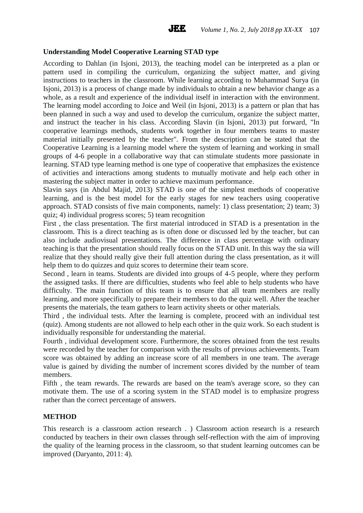#### **Understanding Model Cooperative Learning STAD type**

According to Dahlan (in Isjoni, 2013), the teaching model can be interpreted as a plan or pattern used in compiling the curriculum, organizing the subject matter, and giving instructions to teachers in the classroom. While learning according to Muhammad Surya (in Isjoni, 2013) is a process of change made by individuals to obtain a new behavior change as a whole, as a result and experience of the individual itself in interaction with the environment. The learning model according to Joice and Weil (in Isjoni, 2013) is a pattern or plan that has been planned in such a way and used to develop the curriculum, organize the subject matter, and instruct the teacher in his class. According Slavin (in Isjoni, 2013) put forward, "In cooperative learnings methods, students work together in four members teams to master material initially presented by the teacher". From the description can be stated that the Cooperative Learning is a learning model where the system of learning and working in small groups of 4-6 people in a collaborative way that can stimulate students more passionate in learning. STAD type learning method is one type of cooperative that emphasizes the existence of activities and interactions among students to mutually motivate and help each other in mastering the subject matter in order to achieve maximum performance.

Slavin says (in Abdul Majid, 2013) STAD is one of the simplest methods of cooperative learning, and is the best model for the early stages for new teachers using cooperative approach. STAD consists of five main components, namely: 1) class presentation; 2) team; 3) quiz; 4) individual progress scores; 5) team recognition

First , the class presentation. The first material introduced in STAD is a presentation in the classroom. This is a direct teaching as is often done or discussed led by the teacher, but can also include audiovisual presentations. The difference in class percentage with ordinary teaching is that the presentation should really focus on the STAD unit. In this way the sia will realize that they should really give their full attention during the class presentation, as it will help them to do quizzes and quiz scores to determine their team score.

Second , learn in teams. Students are divided into groups of 4-5 people, where they perform the assigned tasks. If there are difficulties, students who feel able to help students who have difficulty. The main function of this team is to ensure that all team members are really learning, and more specifically to prepare their members to do the quiz well. After the teacher presents the materials, the team gathers to learn activity sheets or other materials.

Third , the individual tests. After the learning is complete, proceed with an individual test (quiz). Among students are not allowed to help each other in the quiz work. So each student is individually responsible for understanding the material.

Fourth , individual development score. Furthermore, the scores obtained from the test results were recorded by the teacher for comparison with the results of previous achievements. Team score was obtained by adding an increase score of all members in one team. The average value is gained by dividing the number of increment scores divided by the number of team members.

Fifth , the team rewards. The rewards are based on the team's average score, so they can motivate them. The use of a scoring system in the STAD model is to emphasize progress rather than the correct percentage of answers.

#### **METHOD**

This research is a classroom action research . ) Classroom action research is a research conducted by teachers in their own classes through self-reflection with the aim of improving the quality of the learning process in the classroom, so that student learning outcomes can be improved (Daryanto, 2011: 4).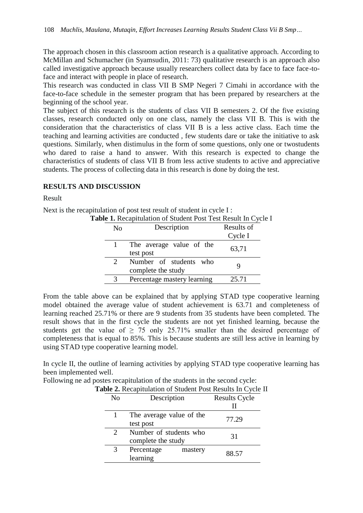The approach chosen in this classroom action research is a qualitative approach. According to McMillan and Schumacher (in Syamsudin, 2011: 73) qualitative research is an approach also called investigative approach because usually researchers collect data by face to face face-toface and interact with people in place of research.

This research was conducted in class VII B SMP Negeri 7 Cimahi in accordance with the face-to-face schedule in the semester program that has been prepared by researchers at the beginning of the school year.

The subject of this research is the students of class VII B semesters 2. Of the five existing classes, research conducted only on one class, namely the class VII B. This is with the consideration that the characteristics of class VII B is a less active class. Each time the teaching and learning activities are conducted , few students dare or take the initiative to ask questions. Similarly, when distimulus in the form of some questions, only one or twostudents who dared to raise a hand to answer. With this research is expected to change the characteristics of students of class VII B from less active students to active and appreciative students. The process of collecting data in this research is done by doing the test.

#### **RESULTS AND DISCUSSION**

Result

Next is the recapitulation of post test result of student in cycle I :

|  | Table 1. Recapitulation of Student Post Test Result In Cycle I |  |  |  |  |
|--|----------------------------------------------------------------|--|--|--|--|
|--|----------------------------------------------------------------|--|--|--|--|

| No | Description                                  | Results of |
|----|----------------------------------------------|------------|
|    |                                              | Cycle I    |
|    | The average value of the<br>test post        | 63,71      |
|    | Number of students who<br>complete the study |            |
|    | Percentage mastery learning                  | 25.71      |

From the table above can be explained that by applying STAD type cooperative learning model obtained the average value of student achievement is 63.71 and completeness of learning reached 25.71% or there are 9 students from 35 students have been completed. The result shows that in the first cycle the students are not yet finished learning, because the students get the value of  $> 75$  only 25.71% smaller than the desired percentage of completeness that is equal to 85%. This is because students are still less active in learning by using STAD type cooperative learning model.

In cycle II, the outline of learning activities by applying STAD type cooperative learning has been implemented well.

Following ne ad postes recapitulation of the students in the second cycle:

| No                    | Description              |         | <b>Results Cycle</b> |  |
|-----------------------|--------------------------|---------|----------------------|--|
|                       |                          |         |                      |  |
|                       | The average value of the |         | 77.29                |  |
|                       | test post                |         |                      |  |
| $\mathcal{D}_{\cdot}$ | Number of students who   |         | 31                   |  |
|                       | complete the study       |         |                      |  |
| 3                     | Percentage               | mastery | 88.57                |  |
|                       | learning                 |         |                      |  |

**Table 2.** Recapitulation of Student Post Results In Cycle II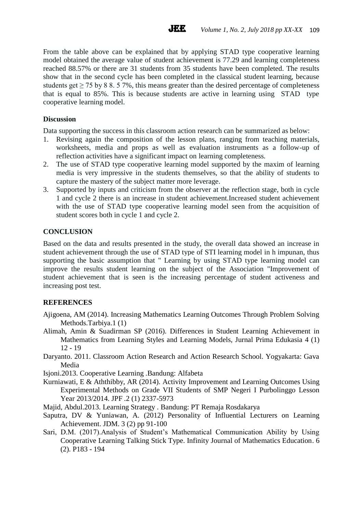From the table above can be explained that by applying STAD type cooperative learning model obtained the average value of student achievement is 77.29 and learning completeness reached 88.57% or there are 31 students from 35 students have been completed. The results show that in the second cycle has been completed in the classical student learning, because students get  $\geq$  75 by 8 8. 5 7%, this means greater than the desired percentage of completeness that is equal to 85%. This is because students are active in learning using STAD type cooperative learning model.

**JEE** 

## **Discussion**

Data supporting the success in this classroom action research can be summarized as below:

- 1. Revising again the composition of the lesson plans, ranging from teaching materials, worksheets, media and props as well as evaluation instruments as a follow-up of reflection activities have a significant impact on learning completeness.
- 2. The use of STAD type cooperative learning model supported by the maxim of learning media is very impressive in the students themselves, so that the ability of students to capture the mastery of the subject matter more leverage.
- 3. Supported by inputs and criticism from the observer at the reflection stage, both in cycle 1 and cycle 2 there is an increase in student achievement.Increased student achievement with the use of STAD type cooperative learning model seen from the acquisition of student scores both in cycle 1 and cycle 2.

# **CONCLUSION**

Based on the data and results presented in the study, the overall data showed an increase in student achievement through the use of STAD type of STI learning model in h impunan, thus supporting the basic assumption that " Learning by using STAD type learning model can improve the results student learning on the subject of the Association "Improvement of student achievement that is seen is the increasing percentage of student activeness and increasing post test.

# **REFERENCES**

- Ajigoena, AM (2014). Increasing Mathematics Learning Outcomes Through Problem Solving Methods.Tarbiya.1 (1)
- Alimah, Amin & Suadirman SP (2016). Differences in Student Learning Achievement in Mathematics from Learning Styles and Learning Models, Jurnal Prima Edukasia 4 (1) 12 - 19
- Daryanto. 2011. Classroom Action Research and Action Research School. Yogyakarta: Gava Media

Isjoni.2013. Cooperative Learning .Bandung: Alfabeta

- Kurniawati, E & Aththibby, AR (2014). Activity Improvement and Learning Outcomes Using Experimental Methods on Grade VII Students of SMP Negeri I Purbolinggo Lesson Year 2013/2014. JPF .2 (1) 2337-5973
- Majid, Abdul.2013. Learning Strategy . Bandung: PT Remaja Rosdakarya
- Saputra, DV & Yuniawan, A. (2012) Personality of Influential Lecturers on Learning Achievement. JDM. 3 (2) pp 91-100
- Sari, D.M. (2017).Analysis of Student's Mathematical Communication Ability by Using Cooperative Learning Talking Stick Type. Infinity Journal of Mathematics Education. 6 (2). P183 - 194